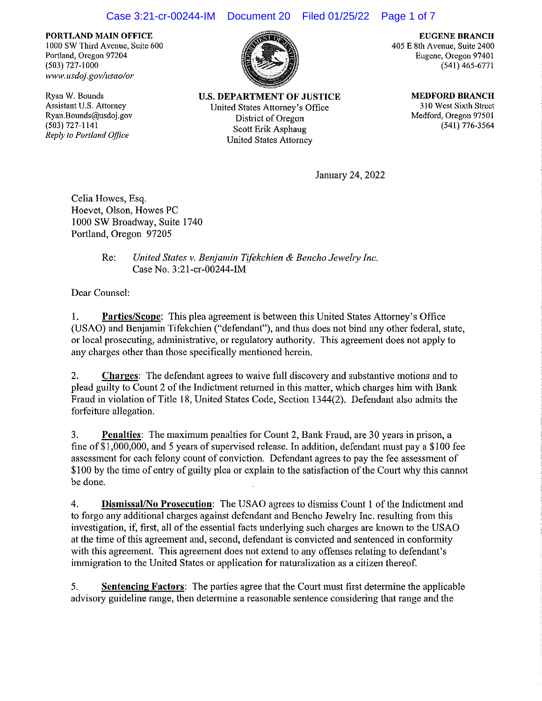## Case 3:21-cr-00244-IM Document 20 Filed 01/25/22 Page 1 of 7

**PORTLAND MAIN OFFICE**  l 000 SW Third Avenue, Suite 600 Portland, Oregon 97204 (503) 727-1000 *www.usdoj.gov/usao/or* 

Ryan W. Bounds Assistant U.S. Attorney Ryan.Bounds@usdoj.gov (503) 727-1141 *Reply to Portland Office* 



**U.S. DEPARTMENT OF JUSTICE**  United States Attorney's Office District of Oregon Scott Erik Asphaug United States Attorney

**EUGENE BRANCH**  405 E 8th Avenue, Suite 2400 Eugene, Oregon 9740 l (541) 465-6771

> **MEDFORD BRANCH**  310 West Sixth Street Medford, Oregon 97501 (541) 776-3564

Jannary 24, 2022

Celia Howes, Esq. Hoevel, Olson, Howes PC 1000 SW Broadway, Suite 1740 Portland, Oregon 97205

## Re: *United States v. Benjamin Tifekchien & Bencho Jewehy Inc.*  Case No. 3:21-cr-00244-IM

Dear Counsel:

I. **Parties/Scope:** This plea agreement is between this United States Attorney's Office (USAO) and Benjamin Tifekchien ("defendant"), and thus does not bind any other federal, state, or local prosecuting, administrative, or regulatory authority. This agreement does not apply to any charges other than those specifically mentioned herein.

2. **Charges:** The defendant agrees to waive **full** discovery and substantive motions and to plead guilty to Count 2 of the Indictment returned in this matter, which charges him with Banlc Fraud in violation of Title 18, United States Code, Section 1344(2). Defendant also admits the forfeiture allegation.

3. **Penalties:** The maximum penalties for Count 2, Bank Fraud, are 30 years in prison, a fine of \$1,000,000, and 5 years of supervised release. In addition, defendant must pay a \$100 fee assessment for each felony count of conviction. Defendant agrees to pay the fee assessment of \$100 by the time of entry of guilty plea or explain to the satisfaction of the Court why this cannot be done.

4. **Dismissal/No Prosecution:** The USAO agrees to dismiss Count I of the Indictment and to forgo any additional charges against defendant and Bencho Jewelry Inc. resulting from this investigation, if, first, all of the essential facts underlying such charges are known to the USAO at the time of this agreement and, second, defendant is convicted and sentenced in conformity with this agreement. This agreement does not extend to any offenses relating to defendant's immigration to the United States or application for naturalization as a citizen thereof.

5. **Sentencing Factors:** The parties agree that the Court must first determine the applicable advisory guideline range, then determine a reasonable sentence considering that range and the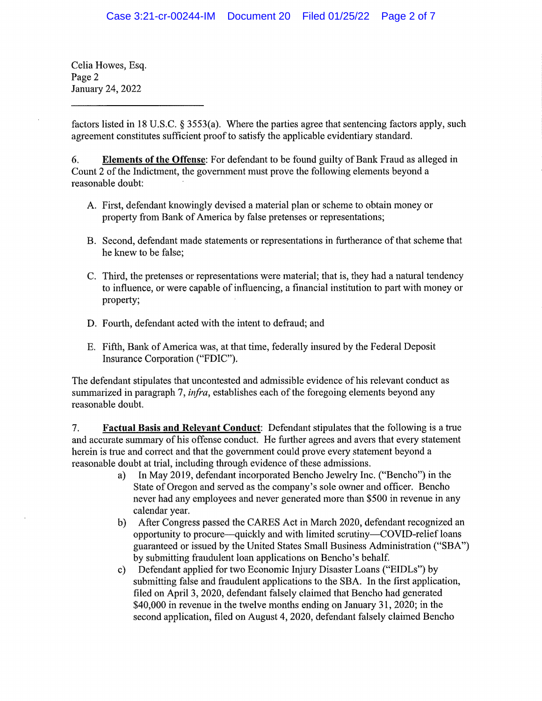Celia Howes, Esq. Page 2 January 24, 2022

factors listed in 18 U.S.C. § 3553(a). Where the parties agree that sentencing factors apply, such agreement constitutes sufficient proof to satisfy the applicable evidentiary standard.

6. **Elements of the Offense:** For defendant to be found guilty of Bank Fraud as alleged in Count 2 of the Indictment, the government must prove the following elements beyond a reasonable doubt:

- A. First, defendant knowingly devised a material plan or scheme to obtain money or property from Bank of America by false pretenses or representations;
- B. Second, defendant made statements or representations in furtherance of that scheme that he knew to be false;
- C. Third, the pretenses or representations were material; that is, they had a natural tendency to influence, or were capable of influencing, a financial institution to part with money or property;
- D. Fourth, defendant acted with the intent to defraud; and
- E. Fifth, Bank of America was, at that time, federally insured by the Federal Deposit Insurance Corporation ("FDIC").

The defendant stipulates that uncontested and admissible evidence of his relevant conduct as summarized in paragraph 7, *infra,* establishes each of the foregoing elements beyond any reasonable doubt.

7. **Factual Basis and Relevant Conduct:** Defendant stipulates that the following is a true and accurate summary of his offense conduct. He further agrees and avers that every statement herein is true and correct and that the government could prove every statement beyond a reasonable doubt at trial, including through evidence of these admissions.

- a) In May 2019, defendant incorporated Bencho Jewehy Inc. ("Bencho") in the State of Oregon and served as the company's sole owner and officer. Bencho never had any employees and never generated more than \$500 in revenue in any calendar year.
- b) After Congress passed the CARES Act in March 2020, defendant recognized an opportunity to procure—quickly and with limited scrutiny—COVID-relief loans guaranteed or issued by the United States Small Business Administration ("SBA") by submitting fraudulent loan applications on Bencho's behalf.
- c) Defendant applied for two Economic Injury Disaster Loans ("EIDLs") by submitting false and fraudulent applications to the SBA. In the first application, filed on April 3, 2020, defendant falsely claimed that Bencho had generated \$40,000 in revenue in the twelve months ending on January 31, 2020; in the second application, filed on August 4, 2020, defendant falsely claimed Bencho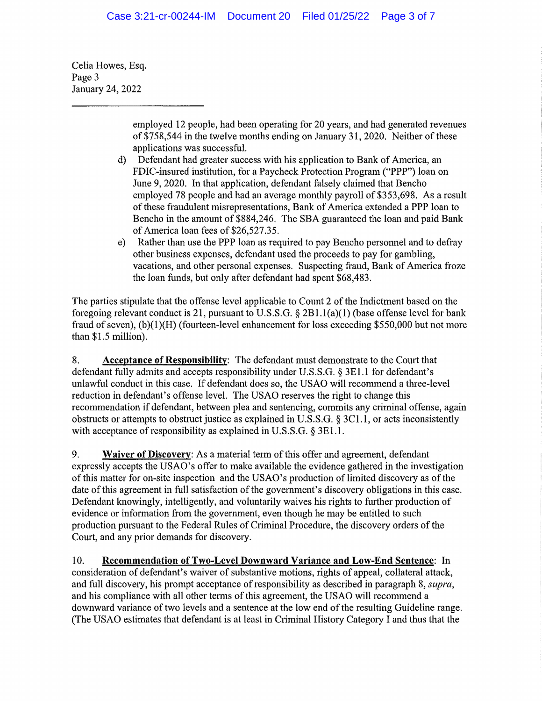Celia Howes, Esq. Page 3 January 24, 2022

> employed 12 people, had been operating for 20 years, and had generated revenues of \$758,544 in the twelve months ending on January 31, 2020. Neither of these applications was successful.

- d) Defendant had greater success with his application to Bank of America, an FDIC-insured institution, for a Paycheck Protection Program ("PPP") loan on June 9, 2020. In that application, defendant falsely claimed that Bencho employed 78 people and had an average monthly payroll of \$353,698. As a result of these fraudulent misrepresentations, Bank of America extended a PPP loan to Bencho in the amount of \$884,246. The SBA guaranteed the loan and paid Bank of America loan fees of \$26,527.35.
- e) Rather than use the PPP loan as required to pay Bencho personnel and to defray other business expenses, defendant used the proceeds to pay for gambling, vacations, and other personal expenses. Suspecting fraud, Bank of America froze the loan funds, but only after defendant had spent \$68,483.

The parties stipulate that the offense level applicable to Count 2 of the Indictment based on the foregoing relevant conduct is 21, pursuant to U.S.S.G. § 2B1.l(a)(l) (base offense level for bank fraud of seven), (b)(1)(H) (fourteen-level enhancement for loss exceeding \$550,000 but not more than \$1.5 million).

8. **Acceptance of Responsibility:** The defendant must demonstrate to the Court that defendant fully admits and accepts responsibility under U.S.S.G. § 3E1.1 for defendant's unlawful conduct in this case. If defendant does so, the USAO will recommend a three-level reduction in defendant's offense level. The USAO reserves the right to change this recommendation if defendant, between plea and sentencing, commits any criminal offense, again obstrncts or attempts to obstruct justice as explained in U.S.S.G. § 3Cl.l, or acts inconsistently with acceptance of responsibility as explained in U.S.S.G.  $\S$  3E1.1.

9. **Waiver of Discovery:** As a material term of this offer and agreement, defendant expressly accepts the USAO's offer to make available the evidence gathered in the investigation of this matter for on-site inspection and the USAO's production of limited discovery as of the date of this agreement in full satisfaction of the government's discovery obligations in this case. Defendant knowingly, intelligently, and voluntarily waives his rights to further production of evidence or information from the government, even though he may be entitled to such production pursuant to the Federal Rules of Criminal Procedure, the discovery orders of the Court, and any prior demands for discovery.

10. Recommendation of Two-Level Downward Variance and Low-End Sentence: In consideration of defendant's waiver of substantive motions, rights of appeal, collateral attack, and full discovery, his prompt acceptance of responsibility as described in paragraph 8, *supra*, and his compliance with all other terms of this agreement, the USAO will recommend a downward variance of two levels and a sentence at the low end of the resulting Guideline range. (The USAO estimates that defendant is at least in Criminal History Category I and thus that the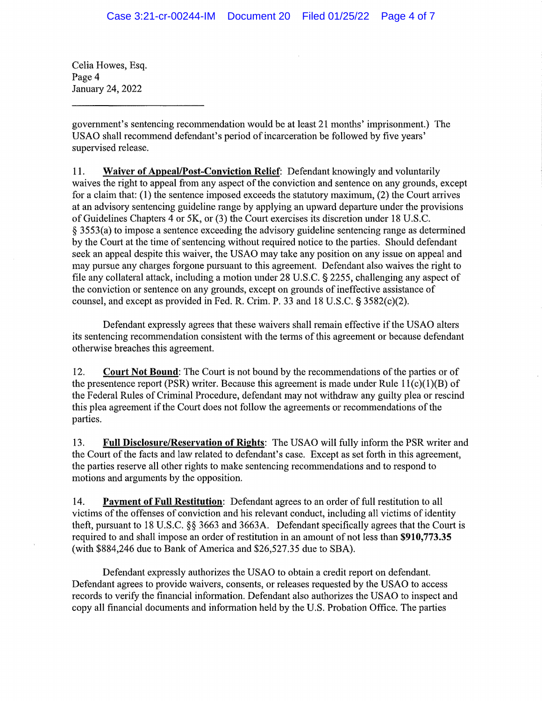Celia Howes, Esq. Page 4 Januaty 24, 2022

government's sentencing recommendation would be at least 21 months' imprisonment.) The USAO shall recommend defendant's period of incarceration be followed by five years' supervised release.

11. **Waiver of Appeal/Post-Conviction Relief:** Defendant knowingly and voluntarily waives the right to appeal from any aspect of the conviction and sentence on any grounds, except for a claim that: (1) the sentence imposed exceeds the statutory maximum, (2) the Court arrives at an advisory sentencing guideline range by applying an upward departure under the provisions of Guidelines Chapters 4 or SK, or (3) the Court exercises its discretion under 18 U.S.C. § 3553(a) to impose a sentence exceeding the advisory guideline sentencing range as determined by the Court at the time of sentencing without required notice to the parties. Should defendant seek an appeal despite this waiver, the USAO may take any position on any issue on appeal and may pursue any charges forgone pursuant to this agreement. Defendant also waives the right to file any collateral attack, including a motion under 28 U.S.C. § 2255, challenging any aspect of the conviction or sentence on any grounds, except on grounds of ineffective assistance of counsel, and except as provided in Fed. R. Crim. P. 33 and 18 U.S.C. § 3582(c)(2).

Defendant expressly agrees that these waivers shall remain effective if the USAO alters its sentencing recommendation consistent with the terms of this agreement or because defendant otherwise breaches this agreement.

12. **Court Not Bound:** The Court is not bound by the recommendations of the parties or of the presentence report (PSR) writer. Because this agreement is made under Rule  $11(c)(1)(B)$  of the Federal Rules of Criminal Procedure, defendant may not withdraw any guilty plea or rescind this plea agreement if the Court does not follow the agreements or recommendations of the parties.

13. **Full Disclosure/Reservation of Rights:** The USAO will fully inform the PSR writer and the Court of the facts and law related to defendant's case. Except as set forth in this agreement, the parties reserve all other rights to make sentencing recommendations and to respond to motions and arguments by the opposition.

14. **Payment of Full Restitution:** Defendant agrees to an order of full restitution to all victims of the offenses of conviction and his relevant conduct, including all victims of identity theft, pursuant to 18 U.S.C. §§ 3663 and 3663A. Defendant specifically agrees that the Court is required to and shall impose an order of restitution in an amount of not less than **\$910,773.35**  (with \$884,246 due to Bank of America and \$26,527.35 due to SBA).

Defendant expressly authorizes the USAO to obtain a credit report on defendant. Defendant agrees to provide waivers, consents, or releases requested by the USAO to access records to verify the financial information. Defendant also authorizes the USAO to inspect and copy all financial documents and information held by the U.S. Probation Office. The parties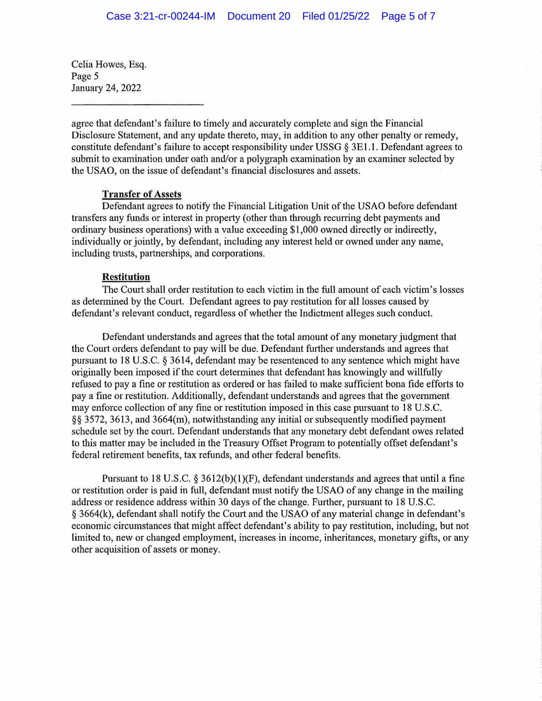Celia Howes, Esq. Page 5 January 24, 2022

agree that defendant's failure to timely and accurately complete and sign the Financial Disclosure Statement, and any update thereto, may, in addition to any other penalty or remedy, constitute defendant's failure to accept responsibility under USSG § 3El .1. Defendant agrees to submit to examination under oath and/or a polygraph examination by an examiner selected by the USAO, on the issue of defendant's financial disclosures and assets.

## **Transfer of Assets**

Defendant agrees to notify the Financial Litigation Unit of the USAO before defendant transfers any funds or interest in property (other than through recurring debt payments and ordinary business operations) with a value exceeding \$1,000 owned directly or indirectly, individually or jointly, by defendant, including any interest held or owned under any name, including trusts, partnerships, and corporations.

## **Restitution**

The Court shall order restitution to each victim in the full amount of each victim's losses as determined by the Court. Defendant agrees to pay restitution for all losses caused by defendant's relevant conduct, regardless of whether the Indictment alleges such conduct.

Defendant understands and agrees that the total amount of any monetary judgment that the Court orders defendant to pay will be due. Defendant further understands and agrees that pursuant to 18 U.S.C. § 3614, defendant may be resentenced to any sentence which might have originally been imposed if the court determines that defendant has knowingly and willfully refused to pay a fine or restitution as ordered or has failed to make sufficient bona fide efforts to pay a fine or restitution. Additionally, defendant understands and agrees that the government may enforce collection of any fine or restitution imposed in this case pursuant to 18 U.S.C. §§ 3572, 3613, and 3664(m), notwithstanding any initial or subsequently modified payment schedule set by the court. Defendant understands that any monetary debt defendant owes related to this matter may be included in the Treasury Offset Program to potentially offset defendant's federal retirement benefits, tax refunds, and other federal benefits.

Pursuant to 18 U.S.C. § 3612(b)(1)(F), defendant understands and agrees that until a fine or restitution order is paid in full, defendant must notify the USAO of any change in the mailing address or residence address within 30 days of the change. Further, pursuant to 18 U.S.C. § 3664(k), defendant shall notify the Court and the USAO of any material change in defendant's economic circumstances that might affect defendant's ability to pay restitution, including, but not limited to, new or changed employment, increases in income, inheritances, monetary gifts, or any other acquisition of assets or money.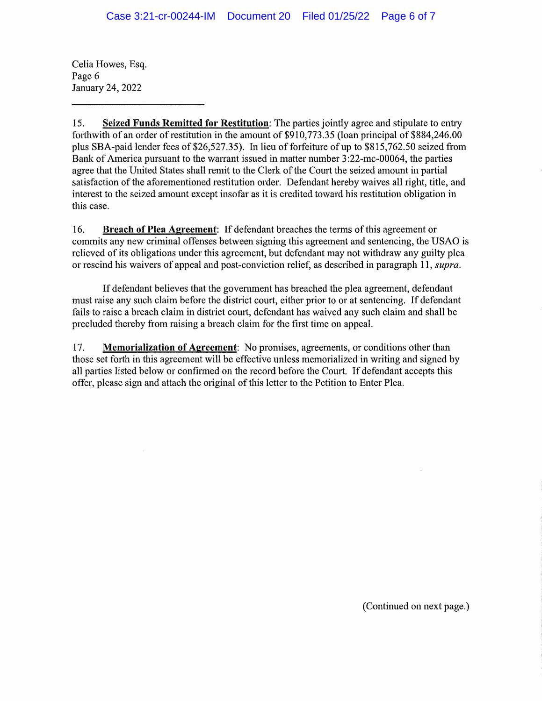Celia Howes, Esq. Page 6 January 24, 2022

15. **Seized Funds Remitted for Restitution:** The parties jointly agree and stipulate to entry forthwith of an order of restitution in the amount of  $$910,773.35$  (loan principal of \$884,246,00 plus SBA-paid lender fees of  $$26,527,35$ ). In lieu of forfeiture of up to  $$815,762.50$  seized from Bank of America pursuant to the warrant issued in matter number 3:22-mc-00064, the patties agree that the United States shall remit to the Clerk of the Court the seized amount in partial satisfaction of the aforementioned restitution order. Defendant hereby waives all right, title, and interest to the seized amount except insofar as it is credited toward his restitution obligation in this case.

16. **Breach of Plea Agreement:** If defendant breaches the terms of this agreement or commits any new criminal offenses between signing this agreement and sentencing, the USAO is relieved of its obligations under this agreement, but defendant may not withdraw any guilty plea or rescind his waivers of appeal and post-conviction relief, as described in paragraph 11, *supra.* 

If defendant believes that the government has breached the plea agreement, defendant must raise any such claim before the district comt, either prior to or at sentencing. If defendant fails to raise a breach claim in district court, defendant has waived any such claim and shall be precluded thereby from raising a breach claim for the first time on appeal.

17. **Memorialization of Agreement:** No promises, agreements, or conditions other than those set forth in this agreement will be effective unless memorialized in writing and signed by all parties listed below or confirmed on the record before the Comt. If defendant accepts this offer, please sign and attach the original of this letter to the Petition to Enter Plea.

(Continued on next page.)